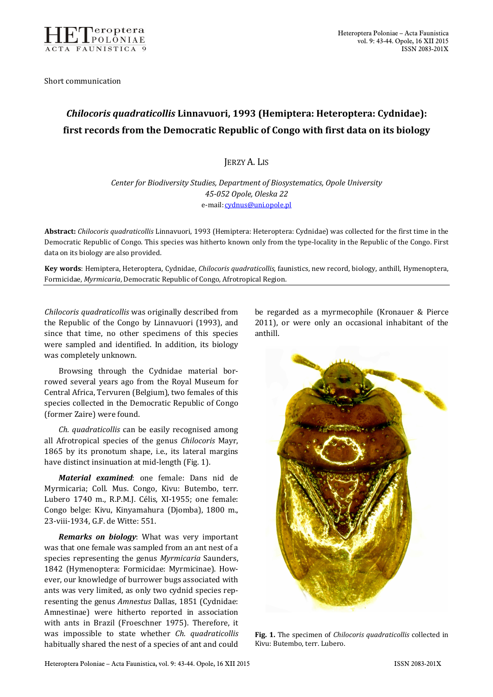

Short communication

## *Chilocoris quadraticollis* **Linnavuori, 1993 (Hemiptera: Heteroptera: Cydnidae): first records from the Democratic Republic of Congo with first data on its biology**

JERZY A. LIS

*Center for Biodiversity Studies, Department of Biosystematics, Opole University 45-052 Opole, Oleska 22*  e-mail: cydnus@uni.opole.pl

**Abstract:** *Chilocoris quadraticollis* Linnavuori, 1993 (Hemiptera: Heteroptera: Cydnidae) was collected for the first time in the Democratic Republic of Congo. This species was hitherto known only from the type-locality in the Republic of the Congo. First data on its biology are also provided.

**Key words**: Hemiptera, Heteroptera, Cydnidae, *Chilocoris quadraticollis*, faunistics, new record, biology, anthill, Hymenoptera, Formicidae, *Myrmicaria*, Democratic Republic of Congo, Afrotropical Region.

*Chilocoris quadraticollis* was originally described from the Republic of the Congo by Linnavuori (1993), and since that time, no other specimens of this species were sampled and identified. In addition, its biology was completely unknown.

Browsing through the Cydnidae material borrowed several years ago from the Royal Museum for Central Africa, Tervuren (Belgium), two females of this species collected in the Democratic Republic of Congo (former Zaire) were found.

*Ch. quadraticollis* can be easily recognised among all Afrotropical species of the genus *Chilocoris* Mayr, 1865 by its pronotum shape, i.e., its lateral margins have distinct insinuation at mid-length (Fig. 1).

*Material examined*: one female: Dans nid de Myrmicaria; Coll. Mus. Congo, Kivu: Butembo, terr. Lubero 1740 m., R.P.M.J. Célis, XI-1955; one female: Congo belge: Kivu, Kinyamahura (Djomba), 1800 m., 23-viii-1934, G.F. de Witte: 551.

*Remarks on biology*: What was very important was that one female was sampled from an ant nest of a species representing the genus *Myrmicaria* Saunders, 1842 (Hymenoptera: Formicidae: Myrmicinae). However, our knowledge of burrower bugs associated with ants was very limited, as only two cydnid species representing the genus *Amnestus* Dallas, 1851 (Cydnidae: Amnestinae) were hitherto reported in association with ants in Brazil (Froeschner 1975). Therefore, it was impossible to state whether *Ch. quadraticollis*  habitually shared the nest of a species of ant and could

be regarded as a myrmecophile (Kronauer & Pierce 2011), or were only an occasional inhabitant of the anthill.



**Fig. 1.** The specimen of *Chilocoris quadraticollis* collected in Kivu: Butembo, terr. Lubero.